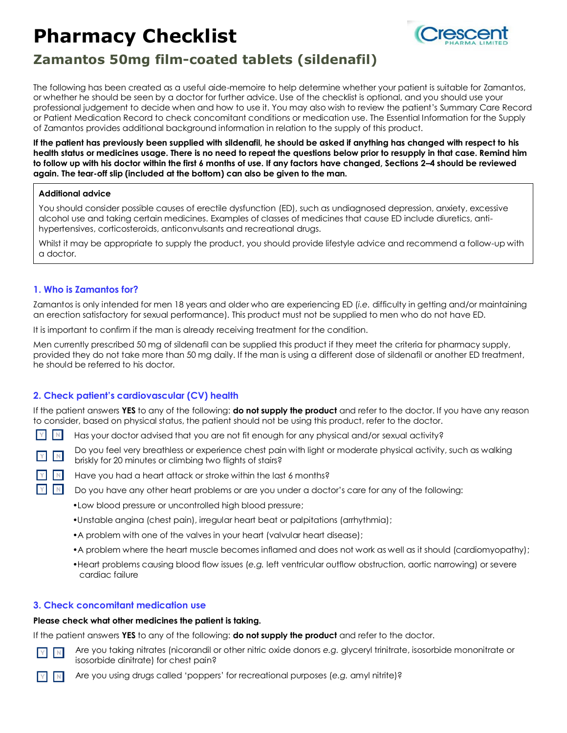# **Pharmacy Checklist**



# **Zamantos 50mg film-coated tablets (sildenafil)**

The following has been created as a useful aide-memoire to help determine whether your patient is suitable for Zamantos, or whether he should be seen by a doctor for further advice. Use of the checklist is optional, and you should use your professional judgement to decide when and how to use it. You may also wish to review the patient's Summary Care Record or Patient Medication Record to check concomitant conditions or medication use. The Essential Information for the Supply of Zamantos provides additional background information in relation to the supply of this product.

**If the patient has previously been supplied with sildenafil, he should be asked if anything has changed with respect to his health status or medicines usage. There is no need to repeat the questions below prior to resupply in that case. Remind him to follow up with his doctor within the first 6 months of use. If any factors have changed, Sections 2–4 should be reviewed again. The tear-off slip (included at the bottom) can also be given to the man.**

## **Additional advice**

You should consider possible causes of erectile dysfunction (ED), such as undiagnosed depression, anxiety, excessive alcohol use and taking certain medicines. Examples of classes of medicines that cause ED include diuretics, antihypertensives, corticosteroids, anticonvulsants and recreational drugs.

Whilst it may be appropriate to supply the product, you should provide lifestyle advice and recommend a follow-up with a doctor.

# **1. Who is Zamantos for?**

Zamantos is only intended for men 18 years and older who are experiencing ED (*i.e.* difficulty in getting and/or maintaining an erection satisfactory for sexual performance). This product must not be supplied to men who do not have ED.

It is important to confirm if the man is already receiving treatment for the condition.

Men currently prescribed 50 mg of sildenafil can be supplied this product if they meet the criteria for pharmacy supply, provided they do not take more than 50 mg daily. If the man is using a different dose of sildenafil or another ED treatment, he should be referred to his doctor.

# **2. Check patient's cardiovascular (CV) health**

If the patient answers **YES** to any of the following: **do not supply the product** and refer to the doctor. If you have any reason to consider, based on physical status, the patient should not be using this product, refer to the doctor.

- $N$ Has your doctor advised that you are not fit enough for any physical and/or sexual activity?
- 

**Y** 

Do you feel very breathless or experience chest pain with light or moderate physical activity, such as walking briskly for 20 minutes or climbing two flights of stairs?

- Have you had a heart attack or stroke within the last 6 months?
	- Do you have any other heart problems or are you under a doctor's care for any of the following:
		- •Low blood pressure or uncontrolled high blood pressure;
		- •Unstable angina (chest pain), irregular heart beat or palpitations (arrhythmia);
		- •A problem with one of the valves in your heart (valvular heart disease);
		- •A problem where the heart muscle becomes inflamed and does not work as well as it should (cardiomyopathy);
		- •Heart problems causing blood flow issues (*e.g.* left ventricular outflow obstruction, aortic narrowing) or severe cardiac failure

# **3. Check concomitant medication use**

### **Please check what other medicines the patient is taking.**

If the patient answers **YES** to any of the following: **do not supply the product** and refer to the doctor.



Are you taking nitrates (nicorandil or other nitric oxide donors *e.g.* glyceryl trinitrate, isosorbide mononitrate or isosorbide dinitrate) for chest pain?



Are you using drugs called 'poppers' for recreational purposes (*e.g.* amyl nitrite)?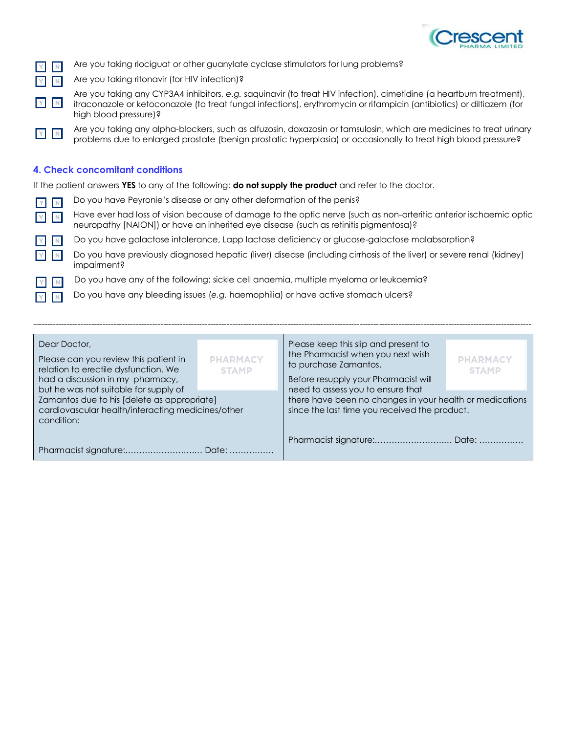

|  |  |  |  |  |  |  | <b>Are you taking riociguat or other guanylate cyclase stimulators for lung problems?</b> |  |  |
|--|--|--|--|--|--|--|-------------------------------------------------------------------------------------------|--|--|
|--|--|--|--|--|--|--|-------------------------------------------------------------------------------------------|--|--|

Are you taking ritonavir (for HIV infection)?

- Are you taking any CYP3A4 inhibitors, *e.g.* saquinavir (to treat HIV infection), cimetidine (a heartburn treatment), itraconazole or ketoconazole (to treat fungal infections), erythromycin or rifampicin (antibiotics) or diltiazem (for high blood pressure)?
- Are you taking any alpha-blockers, such as alfuzosin, doxazosin or tamsulosin, which are medicines to treat urinary  $Y$  N problems due to enlarged prostate (benign prostatic hyperplasia) or occasionally to treat high blood pressure?

# **4. Check concomitant conditions**

If the patient answers **YES** to any of the following: **do not supply the product** and refer to the doctor.

- Do you have Peyronie's disease or any other deformation of the penis?  $N$
- $N$

 $\mathbb N$ 

Have ever had loss of vision because of damage to the optic nerve (such as non-arteritic anterior ischaemic optic neuropathy [NAION]) or have an inherited eye disease (such as retinitis pigmentosa)?

Do you have galactose intolerance, Lapp lactase deficiency or glucose-galactose malabsorption?

Do you have previously diagnosed hepatic (liver) disease (including cirrhosis of the liver) or severe renal (kidney) impairment?

Do you have any of the following: sickle cell anaemia, multiple myeloma or leukaemia?

Do you have any bleeding issues (*e.g.* haemophilia) or have active stomach ulcers?

| Dear Doctor,<br>Please can you review this patient in<br>relation to erectile dysfunction. We<br>had a discussion in my pharmacy,<br>but he was not suitable for supply of | <b>PHARMACY</b><br><b>STAMP</b> | Please keep this slip and present to<br>the Pharmacist when you next wish<br>to purchase Zamantos.<br>Before resupply your Pharmacist will<br>need to assess you to ensure that | <b>PHARMACY</b><br><b>STAMP</b> |  |
|----------------------------------------------------------------------------------------------------------------------------------------------------------------------------|---------------------------------|---------------------------------------------------------------------------------------------------------------------------------------------------------------------------------|---------------------------------|--|
| Zamantos due to his [delete as appropriate]<br>cardiovascular health/interacting medicines/other<br>condition:                                                             |                                 | there have been no changes in your health or medications<br>since the last time you received the product.                                                                       |                                 |  |
|                                                                                                                                                                            |                                 | Pharmacist signature: Date:                                                                                                                                                     |                                 |  |

------------------------------------------------------------------------------------------------------------------------------------------------------------------------------------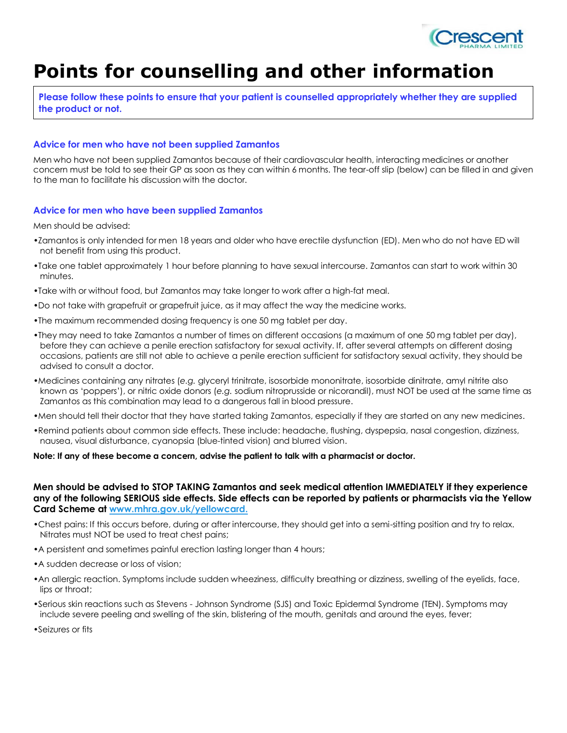

# **Points for counselling and other information**

**Please follow these points to ensure that your patient is counselled appropriately whether they are supplied the product or not.**

### **Advice for men who have not been supplied Zamantos**

Men who have not been supplied Zamantos because of their cardiovascular health, interacting medicines or another concern must be told to see their GP as soon as they can within 6 months. The tear-off slip (below) can be filled in and given to the man to facilitate his discussion with the doctor.

#### **Advice for men who have been supplied Zamantos**

Men should be advised:

- •Zamantos is only intended for men 18 years and older who have erectile dysfunction (ED). Men who do not have ED will not benefit from using this product.
- •Take one tablet approximately 1 hour before planning to have sexual intercourse. Zamantos can start to work within 30 minutes.
- •Take with or without food, but Zamantos may take longer to work after a high-fat meal.
- •Do not take with grapefruit or grapefruit juice, as it may affect the way the medicine works.
- •The maximum recommended dosing frequency is one 50 mg tablet per day.
- •They may need to take Zamantos a number of times on different occasions (a maximum of one 50 mg tablet per day), before they can achieve a penile erection satisfactory for sexual activity. If, after several attempts on different dosing occasions, patients are still not able to achieve a penile erection sufficient for satisfactory sexual activity, they should be advised to consult a doctor.
- •Medicines containing any nitrates (*e.g.* glyceryl trinitrate, isosorbide mononitrate, isosorbide dinitrate, amyl nitrite also known as 'poppers'), or nitric oxide donors (*e.g.* sodium nitroprusside or nicorandil), must NOT be used at the same time as Zamantos as this combination may lead to a dangerous fall in blood pressure.
- •Men should tell their doctor that they have started taking Zamantos, especially if they are started on any new medicines.
- •Remind patients about common side effects. These include: headache, flushing, dyspepsia, nasal congestion, dizziness, nausea, visual disturbance, cyanopsia (blue-tinted vision) and blurred vision.

#### **Note: If any of these become a concern, advise the patient to talk with a pharmacist or doctor.**

### **Men should be advised to STOP TAKING Zamantos and seek medical attention IMMEDIATELY if they experience any of the following SERIOUS side effects. Side effects can be reported by patients or pharmacists via the Yellow Card Scheme at www.mhra.gov.uk/yellowcard.**

- •Chest pains: If this occurs before, during or after intercourse, they should get into a semi-sitting position and try to relax. Nitrates must NOT be used to treat chest pains;
- •A persistent and sometimes painful erection lasting longer than 4 hours;
- •A sudden decrease or loss of vision;
- •An allergic reaction. Symptoms include sudden wheeziness, difficulty breathing or dizziness, swelling of the eyelids, face, lips or throat;
- •Serious skin reactions such as Stevens Johnson Syndrome (SJS) and Toxic Epidermal Syndrome (TEN). Symptoms may include severe peeling and swelling of the skin, blistering of the mouth, genitals and around the eyes, fever;
- •Seizures or fits